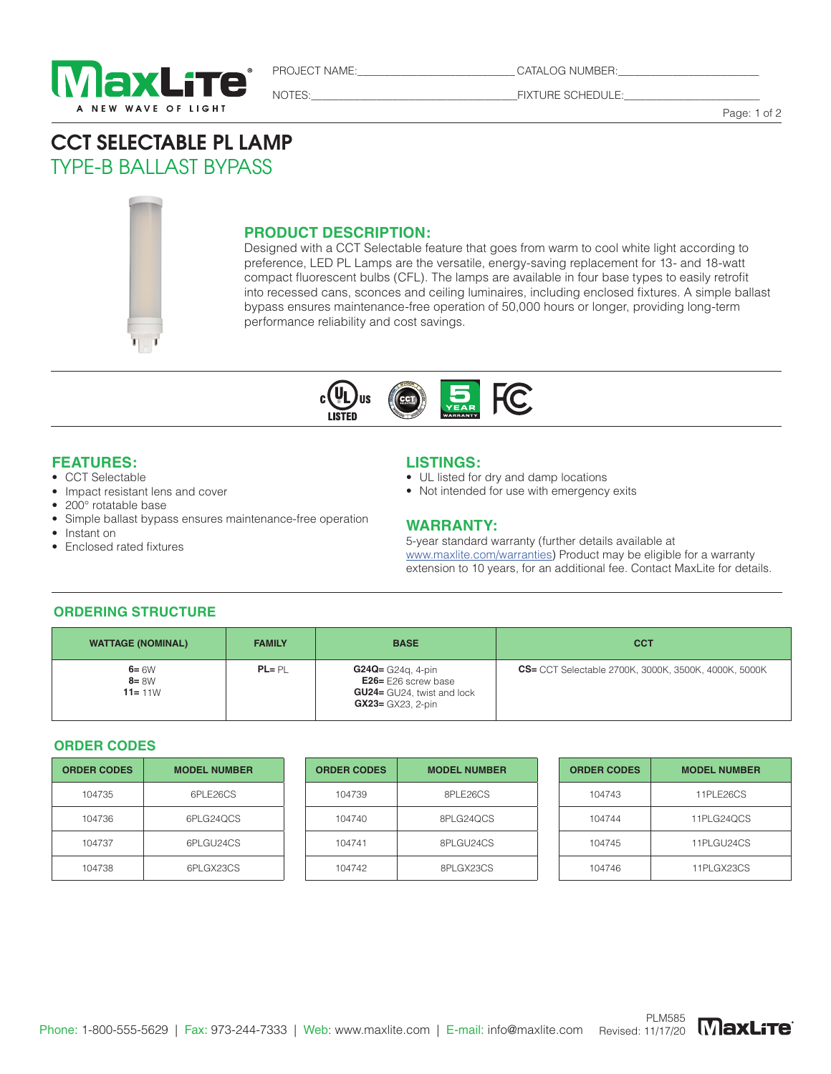

CATALOG NUMBER:

NOTES:\_\_\_\_\_\_\_\_\_\_\_\_\_\_\_\_\_\_\_\_\_\_\_\_\_\_\_\_\_\_\_\_\_\_\_\_\_\_FIXTURE SCHEDULE:\_\_\_\_\_\_\_\_\_\_\_\_\_\_\_\_\_\_\_\_\_\_\_\_\_

Page: 1 of 2

# CCT SELECTABLE PL LAMP TYPE-B BALLAST BYPASS

#### **PRODUCT DESCRIPTION:**

Designed with a CCT Selectable feature that goes from warm to cool white light according to preference, LED PL Lamps are the versatile, energy-saving replacement for 13- and 18-watt compact fluorescent bulbs (CFL). The lamps are available in four base types to easily retrofit into recessed cans, sconces and ceiling luminaires, including enclosed fixtures. A simple ballast bypass ensures maintenance-free operation of 50,000 hours or longer, providing long-term performance reliability and cost savings.



## **FEATURES:**

- CCT Selectable
- Impact resistant lens and cover
- 200° rotatable base
- Simple ballast bypass ensures maintenance-free operation
- Instant on
- Enclosed rated fixtures

### **LISTINGS:**

- UL listed for dry and damp locations
- Not intended for use with emergency exits

### **WARRANTY:**

5-year standard warranty (further details available at www.maxlite.com/warranties) Product may be eligible for a warranty extension to 10 years, for an additional fee. Contact MaxLite for details.

#### **ORDERING STRUCTURE**

| <b>WATTAGE (NOMINAL)</b>           | <b>FAMILY</b> | <b>BASE</b>                                                                                                    | <b>CCT</b>                                                   |
|------------------------------------|---------------|----------------------------------------------------------------------------------------------------------------|--------------------------------------------------------------|
| $6 = 6W$<br>$8 = 8W$<br>$11 = 11W$ | $PL = PI$     | $G24Q = G24q$ , 4-pin<br>$E26 = E26$ screw base<br><b>GU24</b> = GU24, twist and lock<br>$GX23 = GX23$ , 2-pin | <b>CS</b> = CCT Selectable 2700K, 3000K, 3500K, 4000K, 5000K |

#### **ORDER CODES**

| <b>ORDER CODES</b> | <b>MODEL NUMBER</b> |
|--------------------|---------------------|
| 104735             | 6PLE26CS            |
| 104736             | 6PLG240CS           |
| 104737             | 6PLGU24CS           |
| 104738             | 6PLGX23CS           |

| <b>ORDER CODES</b> | <b>MODEL NUMBER</b> | <b>ORDER CODES</b> | <b>MODEL NUMBER</b> | <b>ORDER CODES</b> | <b>MODEL NUMBER</b> |
|--------------------|---------------------|--------------------|---------------------|--------------------|---------------------|
| 104735             | 6PLE26CS            | 104739             | 8PLE26CS            | 104743             | 11PLE26CS           |
| 104736             | 6PLG24QCS           | 104740             | 8PLG24QCS           | 104744             | 11PLG24QCS          |
| 104737             | 6PLGU24CS           | 104741             | 8PLGU24CS           | 104745             | 11PLGU24CS          |
| 104738             | 6PLGX23CS           | 104742             | 8PLGX23CS           | 104746             | 11PLGX23CS          |

| <b>ORDER CODES</b> | <b>MODEL NUMBER</b> |
|--------------------|---------------------|
| 104743             | 11PLE26CS           |
| 104744             | 11PLG240CS          |
| 104745             | 11PLGU24CS          |
| 104746             | 11PLGX23CS          |